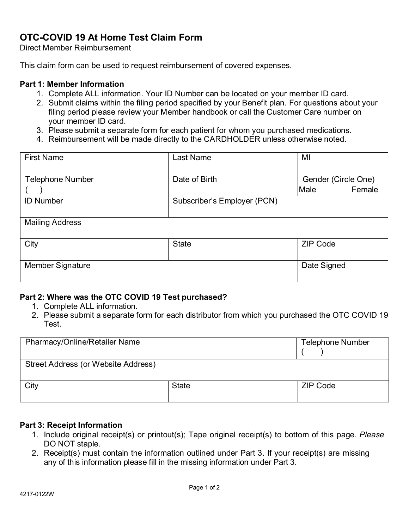## **OTC-COVID 19 At Home Test Claim Form**

Direct Member Reimbursement

This claim form can be used to request reimbursement of covered expenses.

#### **Part 1: Member Information**

- 1. Complete ALL information. Your ID Number can be located on your member ID card.
- 2. Submit claims within the filing period specified by your Benefit plan. For questions about your filing period please review your Member handbook or call the Customer Care number on your member ID card.
- 3. Please submit a separate form for each patient for whom you purchased medications.
- 4. Reimbursement will be made directly to the CARDHOLDER unless otherwise noted.

| <b>First Name</b>       | <b>Last Name</b>            | MI                                    |
|-------------------------|-----------------------------|---------------------------------------|
| <b>Telephone Number</b> | Date of Birth               | Gender (Circle One)<br>Female<br>Male |
| <b>ID Number</b>        | Subscriber's Employer (PCN) |                                       |
| <b>Mailing Address</b>  |                             |                                       |
| City                    | <b>State</b>                | <b>ZIP Code</b>                       |
| <b>Member Signature</b> |                             | Date Signed                           |

#### **Part 2: Where was the OTC COVID 19 Test purchased?**

- 1. Complete ALL information.
- 2. Please submit a separate form for each distributor from which you purchased the OTC COVID 19 Test.

| <b>Pharmacy/Online/Retailer Name</b> |              | <b>Telephone Number</b> |
|--------------------------------------|--------------|-------------------------|
| Street Address (or Website Address)  |              |                         |
| City                                 | <b>State</b> | ZIP Code                |

#### **Part 3: Receipt Information**

- 1. Include original receipt(s) or printout(s); Tape original receipt(s) to bottom of this page. *Please*  DO NOT staple.
- 2. Receipt(s) must contain the information outlined under Part 3. If your receipt(s) are missing any of this information please fill in the missing information under Part 3.